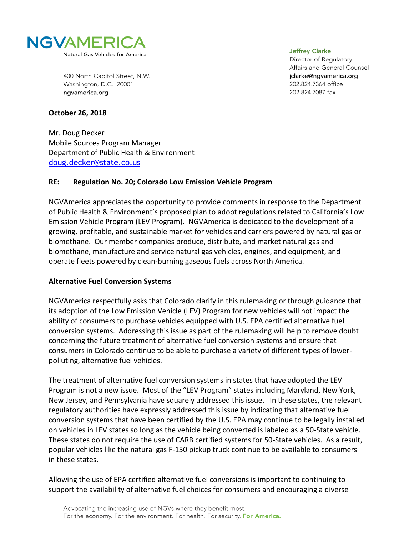

400 North Capitol Street, N.W. Washington, D.C. 20001 ngvamerica.org

**Jeffrey Clarke** 

Director of Regulatory Affairs and General Counsel jclarke@ngvamerica.org 202.824.7364 office 202.824.7087 fax

### **October 26, 2018**

Mr. Doug Decker Mobile Sources Program Manager Department of Public Health & Environment [doug.decker@state.co.us](mailto:doug.decker@state.co.us)

### **RE: Regulation No. 20; Colorado Low Emission Vehicle Program**

NGVAmerica appreciates the opportunity to provide comments in response to the Department of Public Health & Environment's proposed plan to adopt regulations related to California's Low Emission Vehicle Program (LEV Program). NGVAmerica is dedicated to the development of a growing, profitable, and sustainable market for vehicles and carriers powered by natural gas or biomethane. Our member companies produce, distribute, and market natural gas and biomethane, manufacture and service natural gas vehicles, engines, and equipment, and operate fleets powered by clean-burning gaseous fuels across North America.

### **Alternative Fuel Conversion Systems**

NGVAmerica respectfully asks that Colorado clarify in this rulemaking or through guidance that its adoption of the Low Emission Vehicle (LEV) Program for new vehicles will not impact the ability of consumers to purchase vehicles equipped with U.S. EPA certified alternative fuel conversion systems. Addressing this issue as part of the rulemaking will help to remove doubt concerning the future treatment of alternative fuel conversion systems and ensure that consumers in Colorado continue to be able to purchase a variety of different types of lowerpolluting, alternative fuel vehicles.

The treatment of alternative fuel conversion systems in states that have adopted the LEV Program is not a new issue. Most of the "LEV Program" states including Maryland, New York, New Jersey, and Pennsylvania have squarely addressed this issue. In these states, the relevant regulatory authorities have expressly addressed this issue by indicating that alternative fuel conversion systems that have been certified by the U.S. EPA may continue to be legally installed on vehicles in LEV states so long as the vehicle being converted is labeled as a 50-State vehicle. These states do not require the use of CARB certified systems for 50-State vehicles. As a result, popular vehicles like the natural gas F-150 pickup truck continue to be available to consumers in these states.

Allowing the use of EPA certified alternative fuel conversions is important to continuing to support the availability of alternative fuel choices for consumers and encouraging a diverse